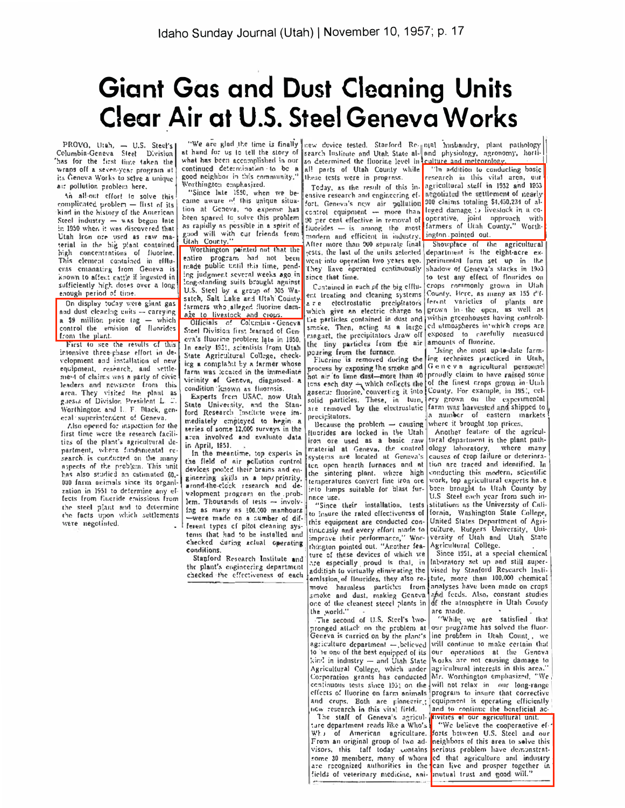## **Giant Gas and Dust Cleaning Units** Clear Air at U.S. Steel Geneva Works

PROVO, Utah, - U.S. Steel's<br>Columbia-Geneva Steel Division has for the first finte taken the wraps off a seven-year program at its Geneva Works to scive a unique air pollution problem here.

An all-out effort to solve this complicated problem - first of its kind in the history of the American Steel industry - was begun late in 1950 when it was discovered that Utah iron ore used as raw material in the hig plant contained<br>high concentrations of fluorine, This element contained in effluents emanating from Geneva is known to affect cattle if ingested in sufficiently high doses over a long

On display today were giant gas and dust cleaning units - carrying a \$9 million price (ag - which control the emision of Hunrides from the plant.

First to see the results of this intensive three-phase effort in development and installation of new equipment, research, and settlement of claims was a party of civic leaders and newsmen from this area. They visited the plant as guests of Division President L. T. Worthington and I. F. Black, general superintendent of Geneva,

Also opened for inspection for the first time were the research facilities of the plant's agricultural department, where fundamental research is conducted on the many aspects of the problem. This unit has also studied an estimated 60,-000 farm animals since its organization in 1951 to determine any elfects from fluoride envissions from the steel plant and to determine<br>the facts upon which settlements were negotiated.

what has been accomplished in our continued determination to be a Worthington emphasized.

"Since late 1950, when we became aware of this unique situation at Geneva, no expense has heen spared to solve this problem as rapidly as pessible in a spirit of good will with our friends from

Worthington painted not that the entire program had not been made public tintil this time, pending judgment several weeks ago in long-standing suits brought against U.S. Steel by a group of 305 Wasatch, Salt Lake and Utah Countyfarmers who alleged fluorine damage to livestock and crops.

Officials of Columbia Geneva Steel Division first learned of Geneva's fluorine problem late in 1950. In early 1951, scientists from Utah State Agricultural College, checking a complant by a farmer whose farm was located in the immediate vicinity of Geneva, diagnosed a condition Known as fluornsis.<br>Experts from USAC, now Utah

State University, and the Stan-<br>ford Research Institute were immediately employed to hegin a series of some 12,000 surveys in the area involved and evaluate data in April, 1951.

In the meantime, top experts in the field of air pollution control devices pooled their brains and engineering skills in a top/priority, arond-the-clock research and development program on the problem. Thousands of tests -- involving as many as 100.000 manhours -were made on a number of different types of pilot cleaning systenis that had to be installed and checked during actual operating conditions.

Stanford Research Institute and the plant's engineering department checked the effectiveness of each

"We are glad the time is finally new device tested. Stanford Re-paral husbandry, plant pathology so determined the fluorine level in all parts of Utah County while these tests were in progress.

Today, as the result of this inensive research and engineering effort, Geneva's new air pollution 90 per cent effective in removal of fluorides - is among the most modern and efficient in industry. After more than 900 separate final They liave operated continuously since that time.

Cantained in each of the big effluent treating and cleaning systems are electrostatic precipitators the particles contained in dust and within greenhouses having controlltiny particles from the air amounts of fluorine. the pouring from the furnace.

precipitators.

Because the problem  $-$  causing fluorides are locked in the Utah iron ore used as a basic raw systems are located at Geneva's the sintering plant, where high temperatures convert fine iron ore into lumps suitable for blast furnace use.

"Since their installation, tests this equipment are conducted continuously and every effort made to improve their performance," Worthington pointed out. "Another feature of these devices of which we are especially proud is that, in addition to virtually eliminating the emission of flourides, they also remove harmless particles from smoke and dust, making Geneva and finally as have been made on crops<br>one of the cleanest steed plants in of the atmosphere in Utah County the world."

The second of U.S. Steel's twopronged attack on the problem at our programe has solved the fluor-Geneva is carried on by the plant's line problem in Utah Count., we agriculture department - believed will continue to make certain that to be one of the best equipped of its our operations at the Geneva Agricultural College, which under Corporation grants has conducted Mr. Worthington emphasized, "We continuous tests since 1951 on the will not relax in our long-range effects of Iluorine on farm animals program to insure that corrective and crops. Both are pioneering new research in this vital field.

The staff of Geneva's agricul- tivities of our agricultural unit. ture department reads like a Who's Who of American agriculture. From an original group of two advisors, this taff today contains some 30 members, many of whom are recognized authorities in the can live and prosper together in lields of veterinary medicine, ani- mutual trust and good will."

at hand for us to tell the story of search Institute and Utah State al- and physiology, agronomy, horticulture and meteorology

"In addition to conducting basic research in this vital area, our agricultural stell in 1952 and 1953 acgotiated the settlement of nearly 000 claims totaling \$4,450,234 of alleged damage to livestock in a cooperative, joint approach with ington pointed out.

Showplace of the agricultural tests, the last of the units selected department is the eight-acre exwent into operation two years ago. perimental form set up in the shadow of Geneva's stacks in 1953 to test any effect of flourides on crops commonly grown in Utah County, Here, as many as 155 d'i. a re electrostatic precipitators ferent varieties of plants are which give an electric charge to grown in the open, as well as smoke. Then, acting as a large cd atmospheres in which crops are

'Jsing the most up-to-date farm-Flucrine is removed during the ling techniues practiced in Utah, process by exposing the smoke and Geneva agricultural personnel hot nir to lime dust-more than 40 proudly claim to have raised some tens each day which collects the of the finest crops grown in Utah gasent: fluorine, converting it into County. For example, in 1951, cel-<br>solid particles. These, in turn, ery grown on the experimental are removed by the electrostatic farm was harvested and shipped to a number of eastern markets where it brought top prices.

Another feature of the agricultural department is the plant pathmaterial at Geneva, the control ology lahoratory, where many causes of crop failure or deterioraten open hearth furnaces and at tion are traced and identified. In conducting this modern, scientific work, top agricultural experts have been brought to Utah County by U.S Steel each year from such institutions as the University of Calito insure the rated effectiveness of fornia, Washington State College, United States Department of Agriculture, Rutgers University, University of Utah and Utah State Agricultural College.

Since 1951, at a special chemical Inboratory set up and still supervised by Stanford Research Institute, more than 100,000 chemical analyses have been made on crops are made.

"While we are satisfied that Works are not causing damage to agricultural interests in this area.' equipment is operating efficiently and to continue the beneficial ac-

"We believe the cooperactive efforts between U.S. Steel and our neighbors of this area to solve this serious problem have demonstrated that agriculture and industry